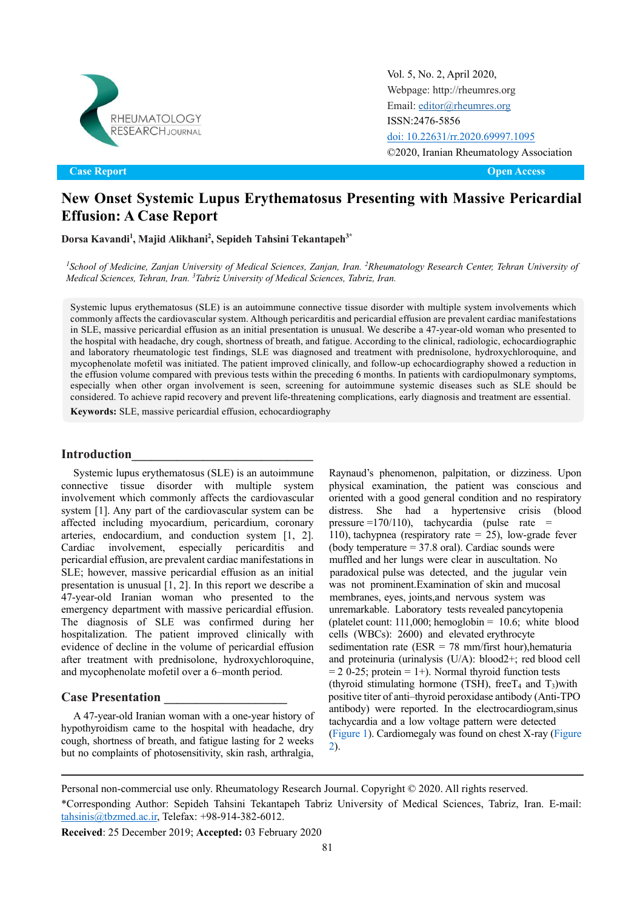

Original Article Open Access **Case Report Open Access**

Vol. 5, No. 2, April 2020, [Webpage: http://rheumres.org](http://rheumres.org/) Email[: editor@rheumres.org](http://editor@rheumres.org/) ISSN:2476-5856 [doi: 10.22631/rr.2020.69997.1095](http://dx.doi.org/10.22631/rr.2020.69997.1095) ©2020, Iranian Rheumatology Association

# **New Onset Systemic Lupus Erythematosus Presenting with Massive Pericardial Effusion: A Case Report**

**Dorsa Kavandi<sup>1</sup> , Majid Alikhani<sup>2</sup> , Sepideh Tahsini Tekantapeh3\***

*1 School of Medicine, Zanjan University of Medical Sciences, Zanjan, Iran. <sup>2</sup>Rheumatology Research Center, Tehran University of Medical Sciences, Tehran, Iran. <sup>3</sup>Tabriz University of Medical Sciences, Tabriz, Iran.*

Systemic lupus erythematosus (SLE) is an autoimmune connective tissue disorder with multiple system involvements which commonly affects the cardiovascular system. Although pericarditis and pericardial effusion are prevalent cardiac manifestations in SLE, massive pericardial effusion as an initial presentation is unusual. We describe a 47-year-old woman who presented to the hospital with headache, dry cough, shortness of breath, and fatigue. According to the clinical, radiologic, echocardiographic and laboratory rheumatologic test findings, SLE was diagnosed and treatment with prednisolone, hydroxychloroquine, and mycophenolate mofetil was initiated. The patient improved clinically, and follow-up echocardiography showed a reduction in the effusion volume compared with previous tests within the preceding 6 months. In patients with cardiopulmonary symptoms, especially when other organ involvement is seen, screening for autoimmune systemic diseases such as SLE should be considered. To achieve rapid recovery and prevent life-threatening complications, early diagnosis and treatment are essential.

**Keywords:** SLE, massive pericardial effusion, echocardiography

### **Introduction\_\_\_\_\_\_\_\_\_\_\_\_\_\_\_\_\_\_\_\_\_\_\_\_\_\_\_\_**

Systemic lupus erythematosus (SLE) is an autoimmune connective tissue disorder with multiple system involvement which commonly affects the cardiovascular system [1]. Any part of the cardiovascular system can be affected including myocardium, pericardium, coronary arteries, endocardium, and conduction system [1, 2]. Cardiac involvement, especially pericarditis and pericardial effusion, are prevalent cardiac manifestations in SLE; however, massive pericardial effusion as an initial presentation is unusual [1, 2]. In this report we describe a 47-year-old Iranian woman who presented to the emergency department with massive pericardial effusion. The diagnosis of SLE was confirmed during her hospitalization. The patient improved clinically with evidence of decline in the volume of pericardial effusion after treatment with prednisolone, hydroxychloroquine, and mycophenolate mofetil over a 6–month period.

#### **Case Presentation \_\_\_\_\_\_\_\_\_\_\_\_\_\_\_\_\_\_\_**

A 47-year-old Iranian woman with a one-year history of hypothyroidism came to the hospital with headache, dry cough, shortness of breath, and fatigue lasting for 2 weeks but no complaints of photosensitivity, skin rash, arthralgia,

Raynaud's phenomenon, palpitation, or dizziness. Upon physical examination, the patient was conscious and oriented with a good general condition and no respiratory distress. She had a hypertensive crisis (blood pressure =170/110), tachycardia (pulse rate = 110), tachypnea (respiratory rate = 25), low-grade fever (body temperature  $= 37.8$  oral). Cardiac sounds were muffled and her lungs were clear in auscultation. No paradoxical pulse was detected, and the jugular vein was not prominent.Examination of skin and mucosal membranes, eyes, joints,and nervous system was unremarkable. Laboratory tests revealed pancytopenia (platelet count:  $111,000$ ; hemoglobin =  $10.6$ ; white blood cells (WBCs): 2600) and elevated erythrocyte sedimentation rate (ESR = 78 mm/first hour), hematuria and proteinuria (urinalysis (U/A): blood2+; red blood cell  $= 2$  0-25; protein  $= 1 +$ ). Normal thyroid function tests (thyroid stimulating hormone (TSH), free  $T_4$  and  $T_3$ ) with positive titer of anti–thyroid peroxidase antibody (Anti-TPO antibody) were reported. In the electrocardiogram,sinus [tachycardi](#page-1-0)a and a low voltage pattern were detecte[d](#page-2-0) [\(F](#page-2-0)igure 1). Cardiomegaly was found on chest X-ray (Figure 2).

Personal non-commercial use only. Rheumatology Research Journal. Copyright © 2020. All rights reserved.

<sup>\*</sup>Corresponding Author: Sepideh Tahsini Tekantapeh Tabriz University of Medical Sciences, Tabriz, Iran. E-mail: [tahsinis@tbzmed.ac.ir,](mailto:tahsinis@tbzmed.ac.ir) Telefax: +98-914-382-6012.

**Received**: 25 December 2019; **Accepted:** 03 February 2020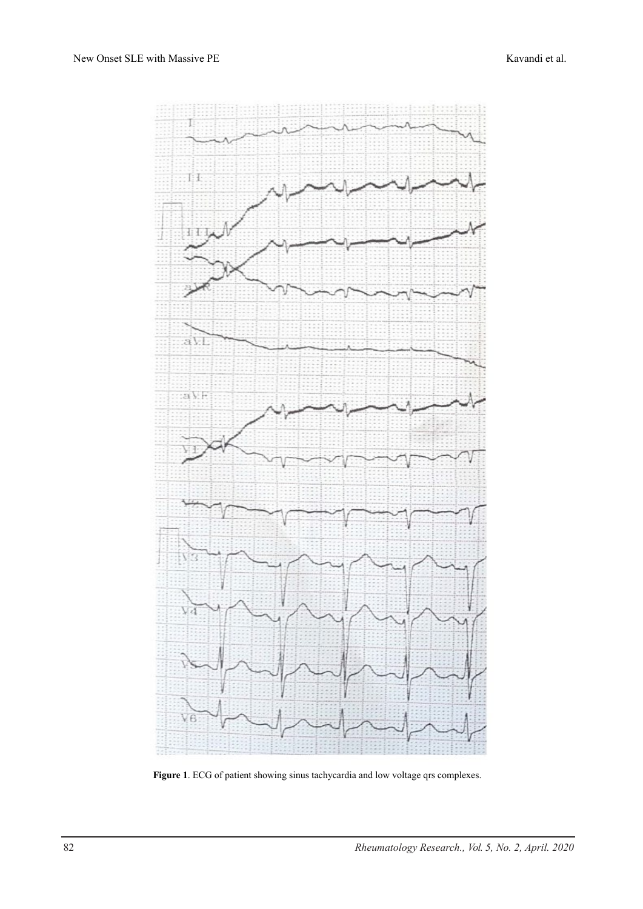

<span id="page-1-0"></span>Figure 1. ECG of patient showing sinus tachycardia and low voltage qrs complexes.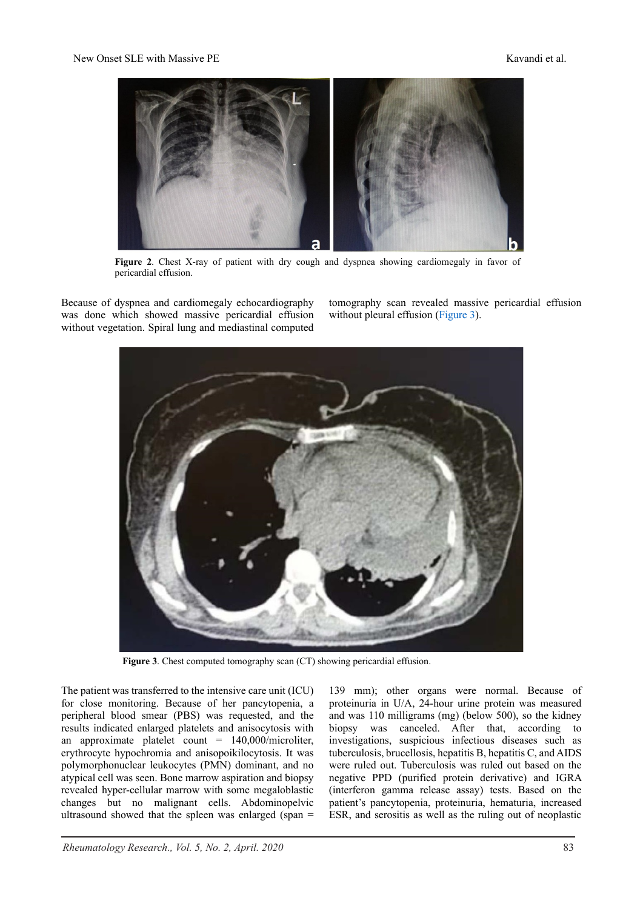

**Figure 2**. Chest X-ray of patient with dry cough and dyspnea showing cardiomegaly in favor of pericardial effusion.

<span id="page-2-0"></span>Because of dyspnea and cardiomegaly echocardiography was done which showed massive pericardial effusion without vegetation. Spiral lung and mediastinal computed

tomography scan revealed massive pericardial effusion without pleural effusion [\(Figure](#page-2-1) 3).



**Figure 3**. Chest computed tomography scan (CT) showing pericardial effusion.

<span id="page-2-1"></span>The patient was transferred to the intensive care unit (ICU) for close monitoring. Because of her pancytopenia, a peripheral blood smear (PBS) was requested, and the results indicated enlarged platelets and anisocytosis with an approximate platelet count =  $140,000/m$ icroliter, erythrocyte hypochromia and anisopoikilocytosis. It was polymorphonuclear leukocytes (PMN) dominant, and no atypical cell was seen. Bone marrow aspiration and biopsy revealed hyper-cellular marrow with some megaloblastic changes but no malignant cells. Abdominopelvic ultrasound showed that the spleen was enlarged (span =

139 mm); other organs were normal. Because of proteinuria in U/A, 24-hour urine protein was measured and was 110 milligrams (mg) (below 500), so the kidney biopsy was canceled. After that, according to investigations, suspicious infectious diseases such as tuberculosis, brucellosis, hepatitis B, hepatitis C, and AIDS were ruled out. Tuberculosis was ruled out based on the negative PPD (purified protein derivative) and IGRA (interferon gamma release assay) tests. Based on the patient's pancytopenia, proteinuria, hematuria, increased ESR, and serositis as well as the ruling out of neoplastic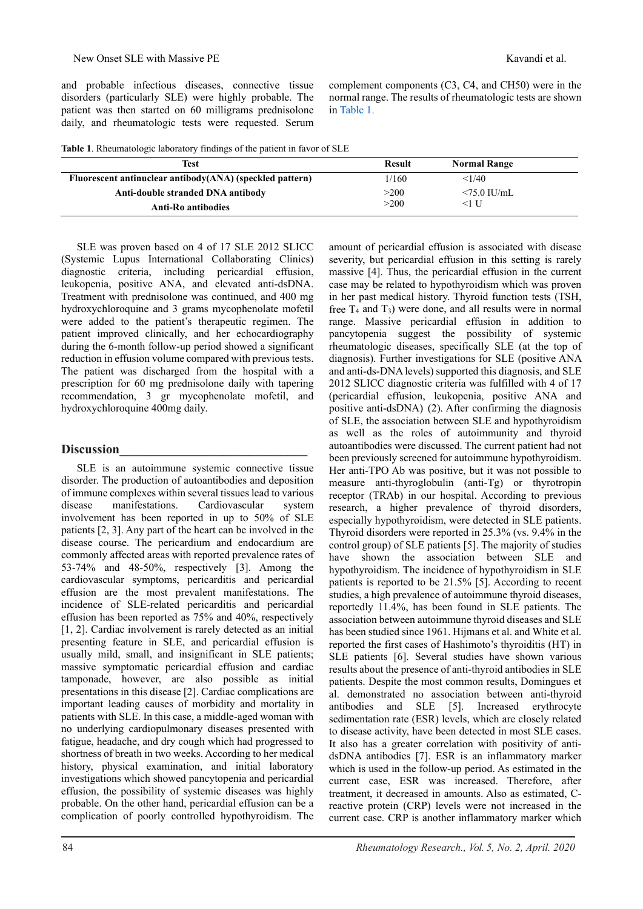and probable infectious diseases, connective tissue disorders (particularly SLE) were highly probable. The patient was then started on 60 milligrams prednisolone daily, and rheumatologic tests were requested. Serum complement components (C3, C4, and CH50) were in the normal range. The results of rheumatologic tests are shown in [Table 1.](#page-3-0)

<span id="page-3-0"></span>

|  | Table 1. Rheumatologic laboratory findings of the patient in favor of SLE |
|--|---------------------------------------------------------------------------|
|--|---------------------------------------------------------------------------|

| Test                                                     | Result | <b>Normal Range</b> |  |
|----------------------------------------------------------|--------|---------------------|--|
| Fluorescent antinuclear antibody(ANA) (speckled pattern) | 1/160  | <1/40               |  |
| Anti-double stranded DNA antibody                        | >200   | $\leq$ 75.0 IU/mL   |  |
| <b>Anti-Ro antibodies</b>                                | >200   | <1 U                |  |

SLE was proven based on 4 of 17 SLE 2012 SLICC (Systemic Lupus International Collaborating Clinics) diagnostic criteria, including pericardial effusion, leukopenia, positive ANA, and elevated anti-dsDNA. Treatment with prednisolone was continued, and 400 mg hydroxychloroquine and 3 grams mycophenolate mofetil were added to the patient's therapeutic regimen. The patient improved clinically, and her echocardiography during the 6-month follow-up period showed a significant reduction in effusion volume compared with previous tests. The patient was discharged from the hospital with a prescription for 60 mg prednisolone daily with tapering recommendation, 3 gr mycophenolate mofetil, and hydroxychloroquine 400mg daily.

# **Discussion\_\_\_\_\_\_\_\_\_\_\_\_\_\_\_\_\_\_\_\_\_\_\_\_\_\_\_\_\_**

SLE is an autoimmune systemic connective tissue disorder. The production of autoantibodies and deposition of immune complexes within several tissues lead to various disease manifestations. Cardiovascular system involvement has been reported in up to 50% of SLE patients [2, 3]. Any part of the heart can be involved in the disease course. The pericardium and endocardium are commonly affected areas with reported prevalence rates of 53-74% and 48-50%, respectively [3]. Among the cardiovascular symptoms, pericarditis and pericardial effusion are the most prevalent manifestations. The incidence of SLE-related pericarditis and pericardial effusion has been reported as 75% and 40%, respectively [1, 2]. Cardiac involvement is rarely detected as an initial presenting feature in SLE, and pericardial effusion is usually mild, small, and insignificant in SLE patients; massive symptomatic pericardial effusion and cardiac tamponade, however, are also possible as initial presentations in this disease [2]. Cardiac complications are important leading causes of morbidity and mortality in patients with SLE. In this case, a middle-aged woman with no underlying cardiopulmonary diseases presented with fatigue, headache, and dry cough which had progressed to shortness of breath in two weeks. According to her medical history, physical examination, and initial laboratory investigations which showed pancytopenia and pericardial effusion, the possibility of systemic diseases was highly probable. On the other hand, pericardial effusion can be a complication of poorly controlled hypothyroidism. The

amount of pericardial effusion is associated with disease severity, but pericardial effusion in this setting is rarely massive [4]. Thus, the pericardial effusion in the current case may be related to hypothyroidism which was proven in her past medical history. Thyroid function tests (TSH, free  $T_4$  and  $T_3$ ) were done, and all results were in normal range. Massive pericardial effusion in addition to pancytopenia suggest the possibility of systemic rheumatologic diseases, specifically SLE (at the top of diagnosis). Further investigations for SLE (positive ANA and anti-ds-DNA levels) supported this diagnosis, and SLE 2012 SLICC diagnostic criteria was fulfilled with 4 of 17 (pericardial effusion, leukopenia, positive ANA and positive anti-dsDNA) (2). After confirming the diagnosis of SLE, the association between SLE and hypothyroidism as well as the roles of autoimmunity and thyroid autoantibodies were discussed. The current patient had not been previously screened for autoimmune hypothyroidism. Her anti-TPO Ab was positive, but it was not possible to measure anti-thyroglobulin (anti-Tg) or thyrotropin receptor (TRAb) in our hospital. According to previous research, a higher prevalence of thyroid disorders, especially hypothyroidism, were detected in SLE patients. Thyroid disorders were reported in 25.3% (vs. 9.4% in the control group) of SLE patients [5]. The majority of studies have shown the association between SLE and hypothyroidism. The incidence of hypothyroidism in SLE patients is reported to be 21.5% [5]. According to recent studies, a high prevalence of autoimmune thyroid diseases, reportedly 11.4%, has been found in SLE patients. The association between autoimmune thyroid diseases and SLE has been studied since 1961. Hijmans et al. and White et al. reported the first cases of Hashimoto's thyroiditis (HT) in SLE patients [6]. Several studies have shown various results about the presence of anti-thyroid antibodies in SLE patients. Despite the most common results, Domingues et al. demonstrated no association between anti-thyroid antibodies and SLE [5]. Increased erythrocyte sedimentation rate (ESR) levels, which are closely related to disease activity, have been detected in most SLE cases. It also has a greater correlation with positivity of antidsDNA antibodies [7]. ESR is an inflammatory marker which is used in the follow-up period. As estimated in the current case, ESR was increased. Therefore, after treatment, it decreased in amounts. Also as estimated, Creactive protein (CRP) levels were not increased in the current case. CRP is another inflammatory marker which